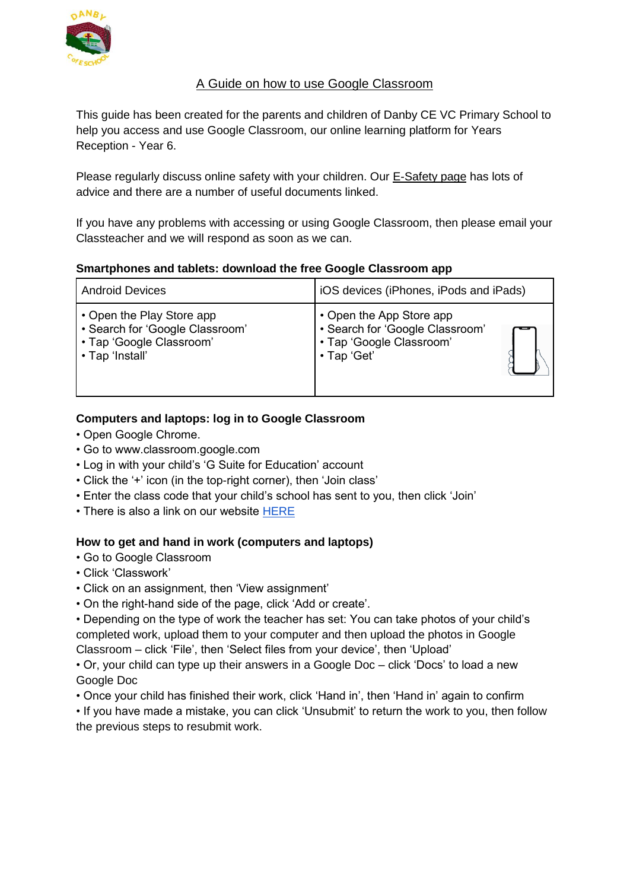

# A Guide on how to use Google Classroom

This guide has been created for the parents and children of Danby CE VC Primary School to help you access and use Google Classroom, our online learning platform for Years Reception - Year 6.

Please regularly discuss online safety with your children. Our [E-Safety page](https://www.danbyceprimary.co.uk/information-and-newsletters/esafety/) has lots of advice and there are a number of useful documents linked.

If you have any problems with accessing or using Google Classroom, then please email your Classteacher and we will respond as soon as we can.

### **Smartphones and tablets: download the free Google Classroom app**

| <b>Android Devices</b>          | iOS devices (iPhones, iPods and iPads) |
|---------------------------------|----------------------------------------|
| • Open the Play Store app       | • Open the App Store app               |
| • Search for 'Google Classroom' | • Search for 'Google Classroom'        |
| • Tap 'Google Classroom'        | · Tap 'Google Classroom'               |
| • Tap 'Install'                 | • Tap 'Get'                            |

## **Computers and laptops: log in to Google Classroom**

- Open Google Chrome.
- Go to www.classroom.google.com
- Log in with your child's 'G Suite for Education' account
- Click the '+' icon (in the top-right corner), then 'Join class'
- Enter the class code that your child's school has sent to you, then click 'Join'
- There is also a link on our website [HERE](https://www.egtonceprimary.org/children/google-classroom/)

### **How to get and hand in work (computers and laptops)**

- Go to Google Classroom
- Click 'Classwork'
- Click on an assignment, then 'View assignment'
- On the right-hand side of the page, click 'Add or create'.

• Depending on the type of work the teacher has set: You can take photos of your child's completed work, upload them to your computer and then upload the photos in Google Classroom – click 'File', then 'Select files from your device', then 'Upload'

• Or, your child can type up their answers in a Google Doc – click 'Docs' to load a new Google Doc

• Once your child has finished their work, click 'Hand in', then 'Hand in' again to confirm

• If you have made a mistake, you can click 'Unsubmit' to return the work to you, then follow the previous steps to resubmit work.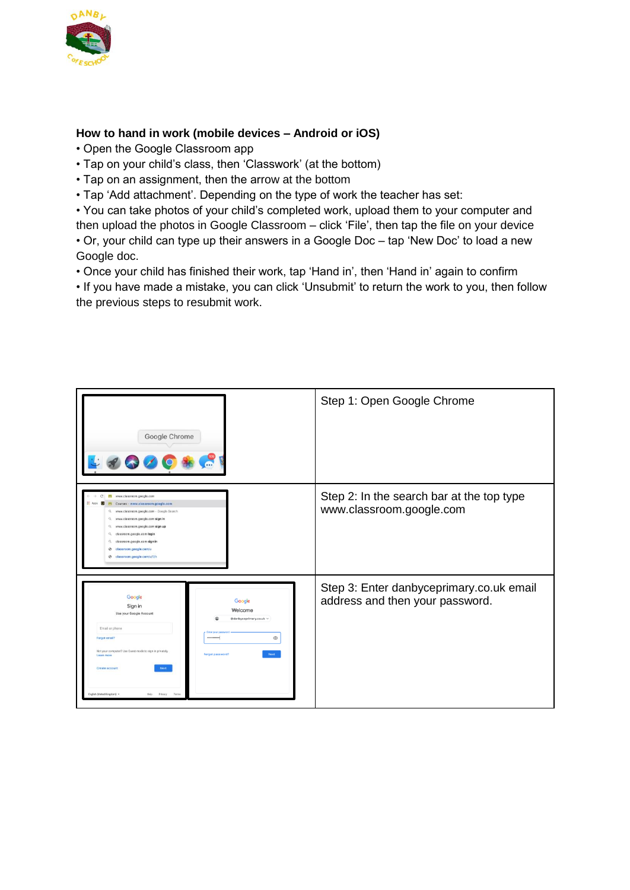

## **How to hand in work (mobile devices – Android or iOS)**

- Open the Google Classroom app
- Tap on your child's class, then 'Classwork' (at the bottom)
- Tap on an assignment, then the arrow at the bottom
- Tap 'Add attachment'. Depending on the type of work the teacher has set:

• You can take photos of your child's completed work, upload them to your computer and then upload the photos in Google Classroom – click 'File', then tap the file on your device • Or, your child can type up their answers in a Google Doc – tap 'New Doc' to load a new Google doc.

• Once your child has finished their work, tap 'Hand in', then 'Hand in' again to confirm

• If you have made a mistake, you can click 'Unsubmit' to return the work to you, then follow the previous steps to resubmit work.

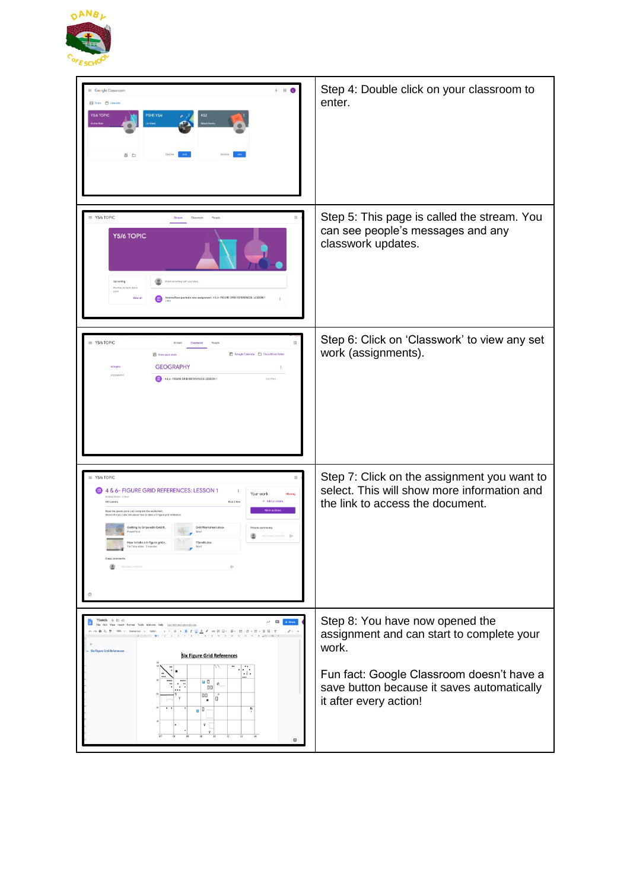

| Google Classroom<br>To de Calenda<br><b>Y5/6 TOPIC</b><br>PSHE Y5/6<br>(0) □                                                                                                                                                                                                                                                                                                                                                                  | Step 4: Double click on your classroom to<br>enter.                                                                                                                                                        |
|-----------------------------------------------------------------------------------------------------------------------------------------------------------------------------------------------------------------------------------------------------------------------------------------------------------------------------------------------------------------------------------------------------------------------------------------------|------------------------------------------------------------------------------------------------------------------------------------------------------------------------------------------------------------|
| $\equiv$ Y5/6 TOPIC<br>Y5/6 TOPIC<br>hing with your clas<br>ted a new assignment: 4 & 6- FIGURE GRID REFERENCES: LESSON 1<br>View al                                                                                                                                                                                                                                                                                                          | Step 5: This page is called the stream. You<br>can see people's messages and any<br>classwork updates.                                                                                                     |
| Y5/6 TOPIC<br>田<br>Google Calendar Cass Drive folder<br><b>D</b> View your work<br><b>GEOGRAPHY</b><br>All topics<br>÷<br>466-FIGURE GRID REFERENCES: LESSON 1<br>Day 2 Nov                                                                                                                                                                                                                                                                   | Step 6: Click on 'Classwork' to view any set<br>work (assignments).                                                                                                                                        |
| Y5/6 TOPIC<br>4 & 6- FIGURE GRID REFERENCES: LESSON 1<br>÷<br>Your work<br>Andrea Rose - 2 No<br>+ Add or create<br>too points<br>Due 2 Nov<br>Mark as I<br>rad the power point and complete the worksheet.<br>atch the you tube link about how to take a 6-figure grid referen<br>Setting to Grips with Grid R<br>Grid Worksheet.docx<br>$\triangleright$<br>How to take a 6-figure grid r<br>Y5and6.doc<br>suTube video 2 minutes<br>wint s | Step 7: Click on the assignment you want to<br>select. This will show more information and<br>the link to access the document.                                                                             |
| Y5and6 ☆ D @<br><b>B</b> o Share<br>The Edit View Insert Format Tools Add-ons Help Last.edit.was.seconds.ago<br>$\mathcal{O} \times \mathbb{R}$<br>12-1-1-1-1-1-1<br>Six Figure Grid References<br><b>Six Figure Grid References</b><br>$\cdot$ $\cdot$<br><b>BD</b><br>$^{\circ}$<br>00<br>00<br>۱ū<br>$n^{10}$<br>Ÿ<br>o                                                                                                                    | Step 8: You have now opened the<br>assignment and can start to complete your<br>work.<br>Fun fact: Google Classroom doesn't have a<br>save button because it saves automatically<br>it after every action! |